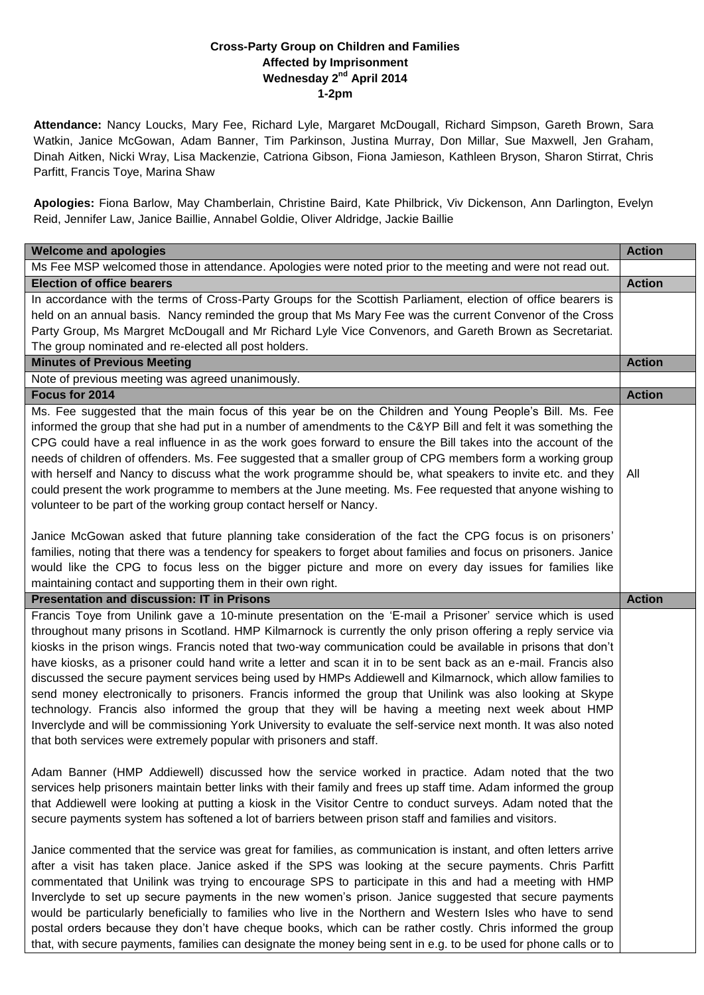## **Cross-Party Group on Children and Families Affected by Imprisonment Wednesday 2<sup>nd</sup> April 2014 1-2pm**

**Attendance:** Nancy Loucks, Mary Fee, Richard Lyle, Margaret McDougall, Richard Simpson, Gareth Brown, Sara Watkin, Janice McGowan, Adam Banner, Tim Parkinson, Justina Murray, Don Millar, Sue Maxwell, Jen Graham, Dinah Aitken, Nicki Wray, Lisa Mackenzie, Catriona Gibson, Fiona Jamieson, Kathleen Bryson, Sharon Stirrat, Chris Parfitt, Francis Toye, Marina Shaw

**Apologies:** Fiona Barlow, May Chamberlain, Christine Baird, Kate Philbrick, Viv Dickenson, Ann Darlington, Evelyn Reid, Jennifer Law, Janice Baillie, Annabel Goldie, Oliver Aldridge, Jackie Baillie

| <b>Welcome and apologies</b>                                                                                                                                                                                                                                                                                                                                                                                                                                                                                                                                                                                                                                                                                                                                                                                                                                                                                                                                                            | <b>Action</b> |
|-----------------------------------------------------------------------------------------------------------------------------------------------------------------------------------------------------------------------------------------------------------------------------------------------------------------------------------------------------------------------------------------------------------------------------------------------------------------------------------------------------------------------------------------------------------------------------------------------------------------------------------------------------------------------------------------------------------------------------------------------------------------------------------------------------------------------------------------------------------------------------------------------------------------------------------------------------------------------------------------|---------------|
| Ms Fee MSP welcomed those in attendance. Apologies were noted prior to the meeting and were not read out.                                                                                                                                                                                                                                                                                                                                                                                                                                                                                                                                                                                                                                                                                                                                                                                                                                                                               |               |
| <b>Election of office bearers</b>                                                                                                                                                                                                                                                                                                                                                                                                                                                                                                                                                                                                                                                                                                                                                                                                                                                                                                                                                       | <b>Action</b> |
| In accordance with the terms of Cross-Party Groups for the Scottish Parliament, election of office bearers is                                                                                                                                                                                                                                                                                                                                                                                                                                                                                                                                                                                                                                                                                                                                                                                                                                                                           |               |
| held on an annual basis. Nancy reminded the group that Ms Mary Fee was the current Convenor of the Cross                                                                                                                                                                                                                                                                                                                                                                                                                                                                                                                                                                                                                                                                                                                                                                                                                                                                                |               |
| Party Group, Ms Margret McDougall and Mr Richard Lyle Vice Convenors, and Gareth Brown as Secretariat.                                                                                                                                                                                                                                                                                                                                                                                                                                                                                                                                                                                                                                                                                                                                                                                                                                                                                  |               |
| The group nominated and re-elected all post holders.                                                                                                                                                                                                                                                                                                                                                                                                                                                                                                                                                                                                                                                                                                                                                                                                                                                                                                                                    |               |
| <b>Minutes of Previous Meeting</b>                                                                                                                                                                                                                                                                                                                                                                                                                                                                                                                                                                                                                                                                                                                                                                                                                                                                                                                                                      | <b>Action</b> |
| Note of previous meeting was agreed unanimously.                                                                                                                                                                                                                                                                                                                                                                                                                                                                                                                                                                                                                                                                                                                                                                                                                                                                                                                                        |               |
| Focus for 2014                                                                                                                                                                                                                                                                                                                                                                                                                                                                                                                                                                                                                                                                                                                                                                                                                                                                                                                                                                          | <b>Action</b> |
| Ms. Fee suggested that the main focus of this year be on the Children and Young People's Bill. Ms. Fee<br>informed the group that she had put in a number of amendments to the C&YP Bill and felt it was something the<br>CPG could have a real influence in as the work goes forward to ensure the Bill takes into the account of the<br>needs of children of offenders. Ms. Fee suggested that a smaller group of CPG members form a working group<br>with herself and Nancy to discuss what the work programme should be, what speakers to invite etc. and they<br>could present the work programme to members at the June meeting. Ms. Fee requested that anyone wishing to<br>volunteer to be part of the working group contact herself or Nancy.                                                                                                                                                                                                                                  | All           |
| Janice McGowan asked that future planning take consideration of the fact the CPG focus is on prisoners'<br>families, noting that there was a tendency for speakers to forget about families and focus on prisoners. Janice<br>would like the CPG to focus less on the bigger picture and more on every day issues for families like<br>maintaining contact and supporting them in their own right.                                                                                                                                                                                                                                                                                                                                                                                                                                                                                                                                                                                      |               |
| <b>Presentation and discussion: IT in Prisons</b>                                                                                                                                                                                                                                                                                                                                                                                                                                                                                                                                                                                                                                                                                                                                                                                                                                                                                                                                       | <b>Action</b> |
| Francis Toye from Unilink gave a 10-minute presentation on the 'E-mail a Prisoner' service which is used<br>throughout many prisons in Scotland. HMP Kilmarnock is currently the only prison offering a reply service via<br>kiosks in the prison wings. Francis noted that two-way communication could be available in prisons that don't<br>have kiosks, as a prisoner could hand write a letter and scan it in to be sent back as an e-mail. Francis also<br>discussed the secure payment services being used by HMPs Addiewell and Kilmarnock, which allow families to<br>send money electronically to prisoners. Francis informed the group that Unilink was also looking at Skype<br>technology. Francis also informed the group that they will be having a meeting next week about HMP<br>Inverclyde and will be commissioning York University to evaluate the self-service next month. It was also noted<br>that both services were extremely popular with prisoners and staff. |               |
| Adam Banner (HMP Addiewell) discussed how the service worked in practice. Adam noted that the two<br>services help prisoners maintain better links with their family and frees up staff time. Adam informed the group<br>that Addiewell were looking at putting a kiosk in the Visitor Centre to conduct surveys. Adam noted that the<br>secure payments system has softened a lot of barriers between prison staff and families and visitors.                                                                                                                                                                                                                                                                                                                                                                                                                                                                                                                                          |               |
| Janice commented that the service was great for families, as communication is instant, and often letters arrive<br>after a visit has taken place. Janice asked if the SPS was looking at the secure payments. Chris Parfitt<br>commentated that Unilink was trying to encourage SPS to participate in this and had a meeting with HMP<br>Inverclyde to set up secure payments in the new women's prison. Janice suggested that secure payments<br>would be particularly beneficially to families who live in the Northern and Western Isles who have to send<br>postal orders because they don't have cheque books, which can be rather costly. Chris informed the group<br>that, with secure payments, families can designate the money being sent in e.g. to be used for phone calls or to                                                                                                                                                                                            |               |